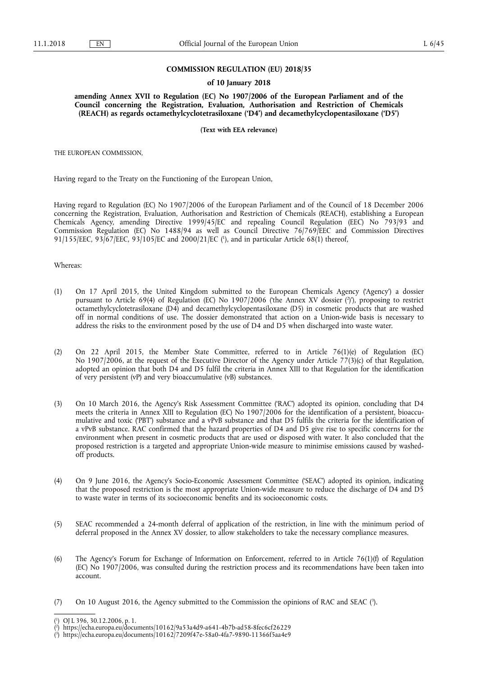## **COMMISSION REGULATION (EU) 2018/35**

## **of 10 January 2018**

**amending Annex XVII to Regulation (EC) No 1907/2006 of the European Parliament and of the Council concerning the Registration, Evaluation, Authorisation and Restriction of Chemicals (REACH) as regards octamethylcyclotetrasiloxane ('D4') and decamethylcyclopentasiloxane ('D5')** 

**(Text with EEA relevance)** 

THE EUROPEAN COMMISSION,

Having regard to the Treaty on the Functioning of the European Union,

Having regard to Regulation (EC) No 1907/2006 of the European Parliament and of the Council of 18 December 2006 concerning the Registration, Evaluation, Authorisation and Restriction of Chemicals (REACH), establishing a European Chemicals Agency, amending Directive 1999/45/EC and repealing Council Regulation (EEC) No 793/93 and Commission Regulation (EC) No 1488/94 as well as Council Directive 76/769/EEC and Commission Directives 91/155/EEC, 93/67/EEC, 93/105/EC and 2000/21/EC ( 1 ), and in particular Article 68(1) thereof,

Whereas:

- (1) On 17 April 2015, the United Kingdom submitted to the European Chemicals Agency ('Agency') a dossier pursuant to Article 69(4) of Regulation (EC) No 1907/2006 ('the Annex XV dossier (?)'), proposing to restrict octamethylcyclotetrasiloxane (D4) and decamethylcyclopentasiloxane (D5) in cosmetic products that are washed off in normal conditions of use. The dossier demonstrated that action on a Union-wide basis is necessary to address the risks to the environment posed by the use of D4 and D5 when discharged into waste water.
- (2) On 22 April 2015, the Member State Committee, referred to in Article 76(1)(e) of Regulation (EC) No 1907/2006, at the request of the Executive Director of the Agency under Article 77(3)(c) of that Regulation, adopted an opinion that both D4 and D5 fulfil the criteria in Annex XIII to that Regulation for the identification of very persistent (vP) and very bioaccumulative (vB) substances.
- (3) On 10 March 2016, the Agency's Risk Assessment Committee ('RAC') adopted its opinion, concluding that D4 meets the criteria in Annex XIII to Regulation (EC) No 1907/2006 for the identification of a persistent, bioaccumulative and toxic ('PBT') substance and a vPvB substance and that D5 fulfils the criteria for the identification of a vPvB substance. RAC confirmed that the hazard properties of D4 and D5 give rise to specific concerns for the environment when present in cosmetic products that are used or disposed with water. It also concluded that the proposed restriction is a targeted and appropriate Union-wide measure to minimise emissions caused by washedoff products.
- (4) On 9 June 2016, the Agency's Socio-Economic Assessment Committee ('SEAC') adopted its opinion, indicating that the proposed restriction is the most appropriate Union-wide measure to reduce the discharge of D4 and D5 to waste water in terms of its socioeconomic benefits and its socioeconomic costs.
- (5) SEAC recommended a 24-month deferral of application of the restriction, in line with the minimum period of deferral proposed in the Annex XV dossier, to allow stakeholders to take the necessary compliance measures.
- (6) The Agency's Forum for Exchange of Information on Enforcement, referred to in Article 76(1)(f) of Regulation (EC) No 1907/2006, was consulted during the restriction process and its recommendations have been taken into account.
- (7) On 10 August 2016, the Agency submitted to the Commission the opinions of RAC and SEAC ( 3 ).

<sup>(</sup> 1 ) OJ L 396, 30.12.2006, p. 1.

<sup>(</sup> 2 ) <https://echa.europa.eu/documents/10162/9a53a4d9-a641-4b7b-ad58-8fec6cf26229>

<sup>(</sup> 3 ) <https://echa.europa.eu/documents/10162/7209f47e-58a0-4fa7-9890-11366f5aa4e9>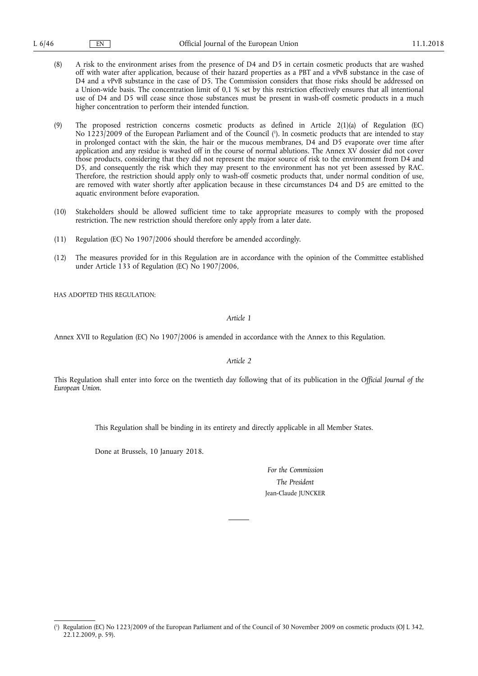- (8) A risk to the environment arises from the presence of D4 and D5 in certain cosmetic products that are washed off with water after application, because of their hazard properties as a PBT and a vPvB substance in the case of D4 and a vPvB substance in the case of D5. The Commission considers that those risks should be addressed on a Union-wide basis. The concentration limit of 0,1 % set by this restriction effectively ensures that all intentional use of D4 and D5 will cease since those substances must be present in wash-off cosmetic products in a much higher concentration to perform their intended function.
- (9) The proposed restriction concerns cosmetic products as defined in Article 2(1)(a) of Regulation (EC) No 1223/2009 of the European Parliament and of the Council ( 1 ). In cosmetic products that are intended to stay in prolonged contact with the skin, the hair or the mucous membranes, D4 and D5 evaporate over time after application and any residue is washed off in the course of normal ablutions. The Annex XV dossier did not cover those products, considering that they did not represent the major source of risk to the environment from D4 and D5, and consequently the risk which they may present to the environment has not yet been assessed by RAC. Therefore, the restriction should apply only to wash-off cosmetic products that, under normal condition of use, are removed with water shortly after application because in these circumstances D4 and D5 are emitted to the aquatic environment before evaporation.
- (10) Stakeholders should be allowed sufficient time to take appropriate measures to comply with the proposed restriction. The new restriction should therefore only apply from a later date.
- (11) Regulation (EC) No 1907/2006 should therefore be amended accordingly.
- (12) The measures provided for in this Regulation are in accordance with the opinion of the Committee established under Article 133 of Regulation (EC) No 1907/2006,

HAS ADOPTED THIS REGULATION:

*Article 1* 

Annex XVII to Regulation (EC) No 1907/2006 is amended in accordance with the Annex to this Regulation.

*Article 2* 

This Regulation shall enter into force on the twentieth day following that of its publication in the *Official Journal of the European Union*.

This Regulation shall be binding in its entirety and directly applicable in all Member States.

Done at Brussels, 10 January 2018.

*For the Commission The President*  Jean-Claude JUNCKER

<sup>(</sup> 1 ) Regulation (EC) No 1223/2009 of the European Parliament and of the Council of 30 November 2009 on cosmetic products (OJ L 342, 22.12.2009, p. 59).